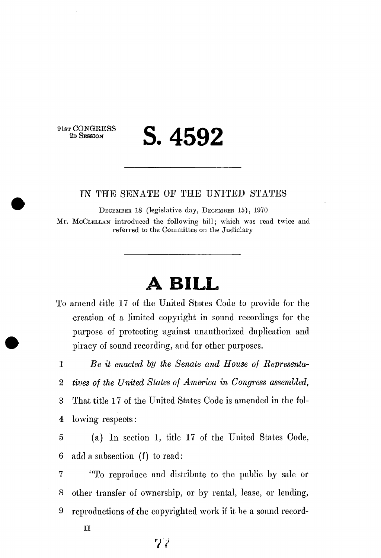**9 1ST CONGRESS** 

## **2D SESSION S. 4592**

## IN THE SENATE OE THE UNITED STATES

DECEMBER 18 (legislative day, DECEMBER 15), 1970

Mr. McCLELLAN introduced the following bill; which was read twice and referred to the Committee on the Judiciary

## **A BILL**

To amend title 17 of the United States Code to provide for the creation of a limited copyright in sound recordings for the purpose of protecting 'against unauthorized duplication and piracy of sound recording, and for other purposes.

1 *Be it enacted by the Senate and House of Revresenta-*

2 *tives of the United States of America in Congress assembled,* 

3 That title 17 of the United States Code is amended in the fol-4 lowing respects:

5 (a) In section 1, title 17 of the United States Code, 6 add a subsection (f) to read:

7 "To reproduce and distribute to the public by sale or 8 other transfer of ownership, or by rental, lease, or lending, 9 reproductions of the copyrighted work if it be a sound record-

II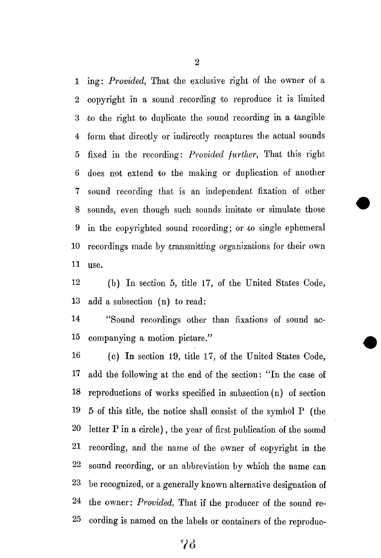1 ing: *Provided*, That the exclusive right of the owner of a 2 copyright in a sound recording to reproduce it is limited 3 to the right to duplicate the sound recording in a 'tangible 4 form that directly or indirectly recaptures the actual sounds 5 fixed in the recording: *Provided further,* That this right 6 does not extend to the making or duplication of another 7 sound recording that is an independent fixation of other 8 sounds, even though such sounds imitate or simulate those 9 in the copyrighted sound recording; or to single ephemeral 10 recordings made by transmitting organizations for their own 11 use.

12 (b) In section 5, title 17, of the United States Code, 13 add a subsection (n) to read:

14 "Sound recordings other than fixations of sound ac-15 companying a motion picture."

16 (c) In section 19, title 17, of the United States Code, 17 add the following at the end of the section: "In the case of 18 reproductions of works specified in subsection (n) of section 19 5 of this title, the notice shall consist of the symbol P (the 20 letter P in a circle), the year of first publication of the sound 21 recording, and the name of the owner of copyright in the 22 sound recording, or an abbreviation by which the name can 23 be recognized, or a generally known alternative designation of 24 the owner: *Provided,* That if the producer of the sound re-25 cording is named on the labels or containers of the reproduc-

2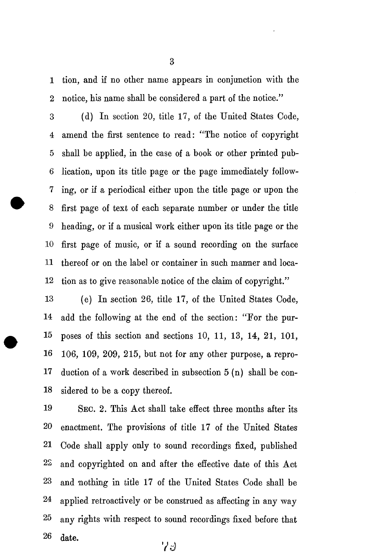1 tion, and if no other name appears in conjunction with the 2 notice, his name shall be considered a part of the notice."

3 (d) In section 20, title 17, of the United States Code, 4 amend the first sentence to read: "The notice of copyright 5 shall be applied, in the case of a book or other printed pub-6 lication, upon its title page or the page immediately follow-7 ing, or if a periodical either upon the title page or upon the 8 first page of text of each separate number or under the title 9 heading, or if a musical work either upon its title page or the 10 first page of music, or if a sound recording on the surface 11 thereof or on the label or container in such manner and loca-12 tion as to give reasonable notice of the claim of copyright."

13 (e) In section 26, title 17, of the United States Code, 14 add the following at the end of the section: "For the pur-15 poses of this section and sections 10, 11, 13, 14, 21, 101, 16 106, 109, 209, 215, but not for any other purpose, a repro-17 duction of a work described in subsection 5 (n) shall be con-18 sidered to be a copy thereof.

19 SEC. 2. This Act shall take effect three months after its 20 enactment. The provisions of title 17 of the United States 21 Code shall apply only to sound recordings fixed, published 22 and copyrighted on and after the effective date of this Act 23 and nothing in title 17 of the United States Code shall be 24 applied retroactively or be construed as affecting in any way 25 any rights with respect to sound recordings fixed before that 26 date.  $73$ 

3